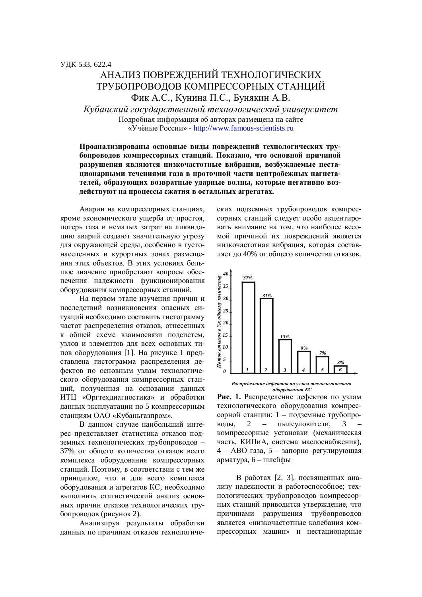# АНАЛИЗ ПОВРЕЖЛЕНИЙ ТЕХНОЛОГИЧЕСКИХ ТРУБОПРОВОДОВ КОМПРЕССОРНЫХ СТАНЦИЙ Фик А.С., Кунина П.С., Бунякин А.В.

Kубанский государственный технологический университет Подробная информация об авторах размещена на сайте ©ɍɱɺɧɵɟɊɨɫɫɢɢ» - http://www.famous-scientists.ru

## Проанализированы основные виды повреждений технологических тру**бопроводов компрессорных станций. Показано, что основной причиной** разрушения являются низкочастотные вибрации, возбуждаемые нестационарными течениями газа в проточной части центробежных нагнетателей, образующих возвратные ударные волны, которые негативно воздействуют на процессы сжатия в остальных агрегатах.

Аварии на компрессорных станциях, кроме экономического ущерба от простоя, потерь газа и немалых затрат на ликвидацию аварий создают значительную угрозу для окружающей среды, особенно в густонаселенных и курортных зонах размещения этих объектов. В этих условиях большое значение приобретают вопросы обеспечения надежности функционирования оборудования компрессорных станций.

На первом этапе изучения причин и послелствий возникновения опасных ситуаций необходимо составить гистограмму частот распределения отказов, отнесенных к общей схеме взаимосвязи подсистем, узлов и элементов для всех основных типов оборудования [1]. На рисунке 1 представлена гистограмма распределения дефектов по основным узлам технологического оборудования компрессорных станций, полученная на основании данных ИТЦ «Оргтехдиагностика» и обработки данных эксплуатации по 5 компрессорным станциям ОАО «Кубаньгазпром».

В данном случае наибольший интерес представляет статистика отказов подземных технологических трубопроводов -37% от общего количества отказов всего комплекса оборудования компрессорных станций. Поэтому, в соответствии с тем же принципом, что и для всего комплекса оборудования и агрегатов КС, необходимо выполнить статистический анализ основных причин отказов технологических трубопроводов (рисунок 2).

Анализируя результаты обработки данных по причинам отказов технологических подземных трубопроводов компрессорных станций следует особо акцентировать внимание на том, что наиболее весомой причиной их повреждений является низкочастотная вибрация, которая составляет до 40% от общего количества отказов.



Распределение дефектов по узлам технологического **•** оборудования КС

Рис. 1. Распределение дефектов по узлам технологического оборудования компрессорной станции: 1 – подземные трубопроволы. 2 – пылеуловители. 3 компрессорные установки (механическая часть. КИПиА, система маслоснабжения), 4 – ABO газа, 5 – запорно-регулирующая арматура,  $6$  – шлейфы

В работах [2, 3], посвященных анализу надежности и работоспособное; технологических трубопроводов компрессорных станций приводится утверждение, что причинами разрушения трубопроводов является «низкочастотные колебания компрессорных машин» и нестационарные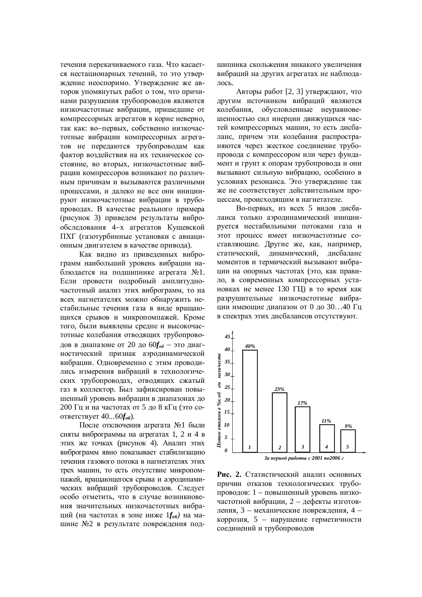течения перекачиваемого газа. Что касается нестационарных течений, то это утверждение неоспоримо. Утверждение же авторов упомянутых работ о том, что причинами разрушения трубопроводов являются низкочастотные вибрации, пришедшие от компрессорных агрегатов в корне неверно, так как: во-первых, собственно низкочастотные вибрации компрессорных агрегатов не передаются трубопроводам как фактор возлействия на их техническое состояние, во вторых, низкочастотные вибрации компрессоров возникают по различным причинам и вызываются различными процессами, и далеко не все они инициируют низкочастотные вибрации в трубопроводах. В качестве реального примера (рисунок 3) приведем результаты виброобследования 4-х агрегатов Кущевской ПХГ (газотурбинные установки с авиационным двигателем в качестве привода).

Как видно из приведенных виброграмм наибольший уровень вибрации наблюдается на подшипнике агрегата №1. Если провести подробный амплитудночастотный анализ этих виброграмм, то на всех нагнетателях можно обнаружить нестабильные течения газа в виде вращающихся срывов и микропомпажей. Кроме того, были выявлены средне и высокочастотные колебания отводящих трубопроводов в диапазоне от 20 до 60*f<sub>об</sub>* – это диагностический признак аэродинамической вибрации. Одновременно с этим проводились измерения вибраций в технологических трубопроводах, отводящих сжатый газ в коллектор. Был зафиксирован повышенный уровень вибрации в диапазонах до 200 Гц и на частотах от 5 до 8 кГц (это соответствует 40...60 $f_{\alpha}$ ).

После отключения агрегата №1 были сняты виброграммы на агрегатах 1, 2 и 4 в этих же точках (рисунок 4). Анализ этих виброграмм явно показывает стабилизацию течения газового потока в нагнетателях этих трех машин, то есть отсутствие микропомпажей, вращающегося срыва и аэродинамических вибраций трубопроводов. Следует особо отметить, что в случае возникновения значительных низкочастотных вибраций (на частотах в зоне ниже  $1 f_{\alpha 6}$ ) на машине №2 в результате повреждения подшипника скольжения никакого увеличения вибраций на других агрегатах не наблюдалось.

Авторы работ [2, 3] утверждают, что другим источником вибраций являются колебания, обусловленные неуравновешенностью сил инерции движущихся частей компрессорных машин, то есть дисбаланс, причем эти колебания распространяются через жесткое соединение трубопровода с компрессором или через фундамент и грунт к опорам трубопровода и они вызывают сильную вибрацию, особенно в условиях резонанса. Это утверждение так же не соответствует действительным процессам, происходящим в нагнетателе.

Во-первых, из всех 5 видов дисбаланса только аэродинамический инициируется нестабильными потоками газа и этот процесс имеет низкочастотные составляющие. Другие же, как, например, статический, динамический, дисбаланс моментов и термический вызывают вибрации на опорных частотах (это, как правило, в современных компрессорных установках не менее 130 ГЦ) в то время как разрушительные низкочастотные вибрации имеющие диапазон от 0 до 30…40 Гц в спектрах этих дисбалансов отсутствуют.



Рис. 2. Статистический анализ основных причин отказов технологических трубопроводов: 1 – повышенный уровень низкочастотной вибрации, 2 – дефекты изготовления, 3 – механические повреждения, 4 – коррозия, 5 – нарушение герметичности соединений и трубопроводов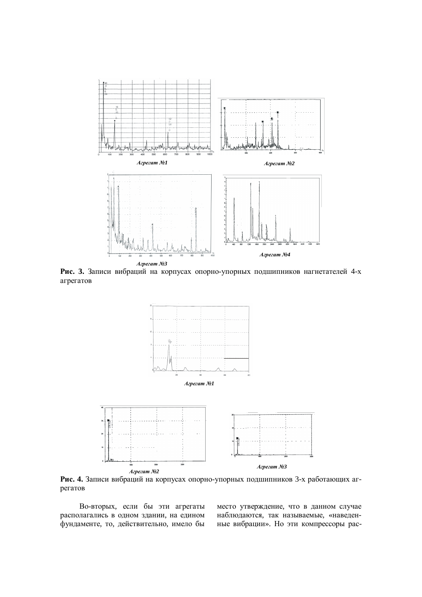

Рис. 3. Записи вибраций на корпусах опорно-упорных подшипников нагнетателей 4-х агрегатов



Рис. 4. Записи вибраций на корпусах опорно-упорных подшипников 3-х работающих агрегатов

Во-вторых, если бы эти агрегаты располагались в одном здании, на едином фундаменте, то, действительно, имело бы место утверждение, что в данном случае наблюдаются, так называемые, «наведенные вибрации». Но эти компрессоры рас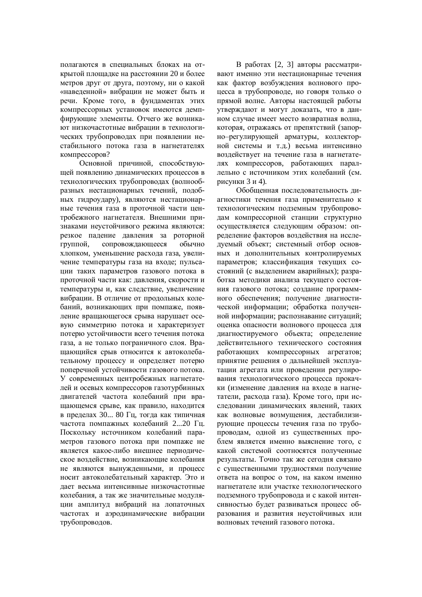полагаются в специальных блоках на открытой площадке на расстоянии 20 и более Metbob Jibyr ot Jibyra, honomy, ни о какой «наведенной» вибрации не может быть и речи. Кроме того, в фундаментах этих компрессорных установок имеются демпфирующие элементы. Отчего же возникают низкочастотные вибрации в технологических трубопроводах при появлении нестабильного потока газа в нагнетателях компрессоров?

Основной причиной, способствующей появлению динамических процессов в технологических трубопроводах (волнообразных нестационарных течений, подобных гидроудару), являются нестационарные течения газа в проточной части центробежного нагнетателя. Внешними признаками неустойчивого режима являются: резкое падение давления за роторной группой, сопровождающееся обычно хлопком, уменьшение расхода газа, увеличение температуры газа на входе; пульсации таких параметров газового потока в проточной части как: давления, скорости и температуры и, как следствие, увеличение вибрации. В отличие от продольных колебаний, возникающих при помпаже, появление вращающегося срыва нарушает осевую симметрию потока и характеризует потерю устойчивости всего течения потока газа, а не только пограничного слоя. Вращающийся срыв относится к автоколебательному процессу и определяет потерю поперечной устойчивости газового потока. У современных центробежных нагнетателей и осевых компрессоров газотурбинных двигателей частота колебаний при вращающемся срыве, как правило, находится в пределах 30... 80 Гц, тогда как типичная частота помпажных колебаний 2...20 Гц. Поскольку источником колебаний параметров газового потока при помпаже не является какое-либо внешнее периодическое воздействие, возникающие колебания не являются вынужденными, и процесс носит автоколебательный характер. Это и дает весьма интенсивные низкочастотные колебания, а так же значительные молуляции амплитуд вибраций на лопаточных частотах и аэролинамические вибрации трубопроводов.

В работах [2, 3] авторы рассматривают именно эти нестационарные течения как фактор возбуждения волнового процесса в трубопроводе, но говоря только о прямой волне. Авторы настоящей работы утверждают и могут доказать, что в данном случае имеет место возвратная волна, которая, отражаясь от препятствий (запорно-регулирующей арматуры, коллекторной системы и т.д.) весьма интенсивно воздействует на течение газа в нагнетателях компрессоров, работающих параллельно с источником этих колебаний (см. рисунки 3 и 4).

Обобщенная последовательность диагностики течения газа применительно к технологическим подземным трубопроводам компрессорной станции структурно осуществляется следующим образом: определение факторов воздействия на исследуемый объект; системный отбор основных и лополнительных контролируемых параметров; классификация текущих состояний (с выделением аварийных); разработка методики анализа текущего состояния газового потока; создание программного обеспечения; получение диагностической информации; обработка полученной информации; распознавание ситуаций; оценка опасности волнового процесса для диагностируемого объекта; определение действительного технического состояния работающих компрессорных агрегатов; принятие решения о дальнейшей эксплуатации агрегата или проведении регулирования технологического процесса прокачки (изменение давления на входе в нагнетатели, расхода газа). Кроме того, при исследовании динамических явлений, таких как волновые возмущения, дестабилизирующие процессы течения газа по трубопроводам, одной из существенных проблем является именно выяснение того, с какой системой соотносятся полученные результаты. Точно так же сегодня связано с существенными трудностями получение ответа на вопрос о том, на каком именно нагнетателе или участке технологического полземного трубопровола и с какой интенсивностью будет развиваться процесс образования и развития неустойчивых или волновых течений газового потока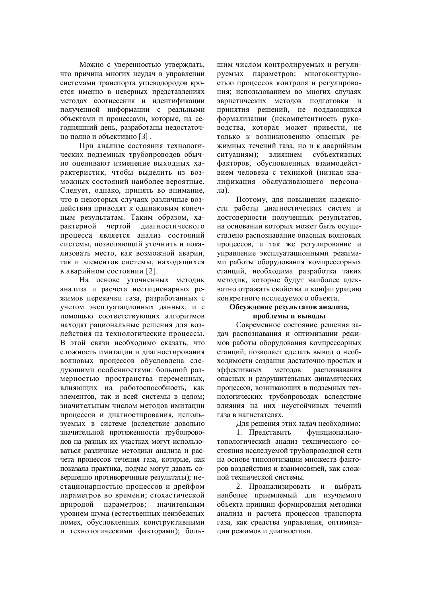Можно с уверенностью утверждать, что причина многих неудач в управлении системами транспорта углеводородов кроется именно в неверных представлениях методах соотнесения и идентификации полученной информации с реальными объектами и процессами, которые, на сегодняшний день, разработаны недостаточно полно и объективно [3].

При анализе состояния технологических подземных трубопроводов обычно оценивают изменение выходных характеристик, чтобы выделить из возможных состояний наиболее вероятные. Следует, однако, принять во внимание, что в некоторых случаях различные воздействия приводят к одинаковым конечным результатам. Таким образом, характерной чертой диагностического процесса является анализ состояний системы, позволяющий уточнить и локализовать место, как возможной аварии, так и элементов системы, находящихся в аварийном состоянии [2].

На основе уточненных методик анализа и расчета нестационарных режимов перекачки газа, разработанных с үчетом эксплуатационных данных, и с помощью соответствующих алгоритмов находят рациональные решения для воздействия на технологические процессы. В этой связи необходимо сказать, что сложность имитации и диагностирования волновых процессов обусловлена следующими особенностями: большой размерностью пространства переменных, влияющих на работоспособность, как элементов, так и всей системы в целом; значительным числом методов имитации процессов и диагностирования, используемых в системе (вследствие довольно значительной протяженности трубопроводов на разных их участках могут использоваться различные методики анализа и расчета процессов течения газа, которые, как показала практика, подчас могут давать совершенно противоречивые результаты); нестационарностью процессов и дрейфом параметров во времени: стохастической природой параметров; значительным уровнем шума (естественных неизбежных помех, обусловленных конструктивными и технологическими факторами); большим числом контролируемых и регулируемых параметров; многоконтурно- $\epsilon$ тью процессов контроля и регулирования: использованием во многих случаях эвристических методов подготовки и принятия решений, не поддающихся формализации (некомпетентность руководства, которая может привести, не только к возникновению опасных режимных течений газа, но и к аварийным ситуациям); влиянием субъективных факторов, обусловленных взаимодействием человека с техникой (низкая квалификация обслуживающего персона- $\pi$ а).

Поэтому, для повышения надежности работы диагностических систем и достоверности полученных результатов, на основании которых может быть осуществлено распознавание опасных волновых процессов, а так же регулирование и управление эксплуатанионными режимами работы оборудования компрессорных станций, необходима разработка таких методик, которые будут наиболее адекватно отражать свойства и конфигурацию конкретного исследуемого объекта.

## Обсуждение результатов анализа. проблемы и выволы

Современное состояние решения задач распознавания и оптимизации режимов работы оборудования компрессорных станций, позволяет сделать вывод о необходимости создания достаточно простых и эффективных методов распознавания опасных и разрушительных динамических процессов, возникающих в подземных технологических трубопроводах вследствие влияния на них неустойчивых течений газа в нагнетателях.

Для решения этих залач необходимо:

1. Представить функциональнотопологический анализ технического состояния исследуемой трубопроводной сети на основе типологизации множеств факторов воздействия и взаимосвязей, как сложной технической системы.

2. Проанализировать и выбрать наиболее приемлемый для изучаемого объекта принцип формирования методики анализа и расчета процессов транспорта газа, как средства управления, оптимизации режимов и диагностики.